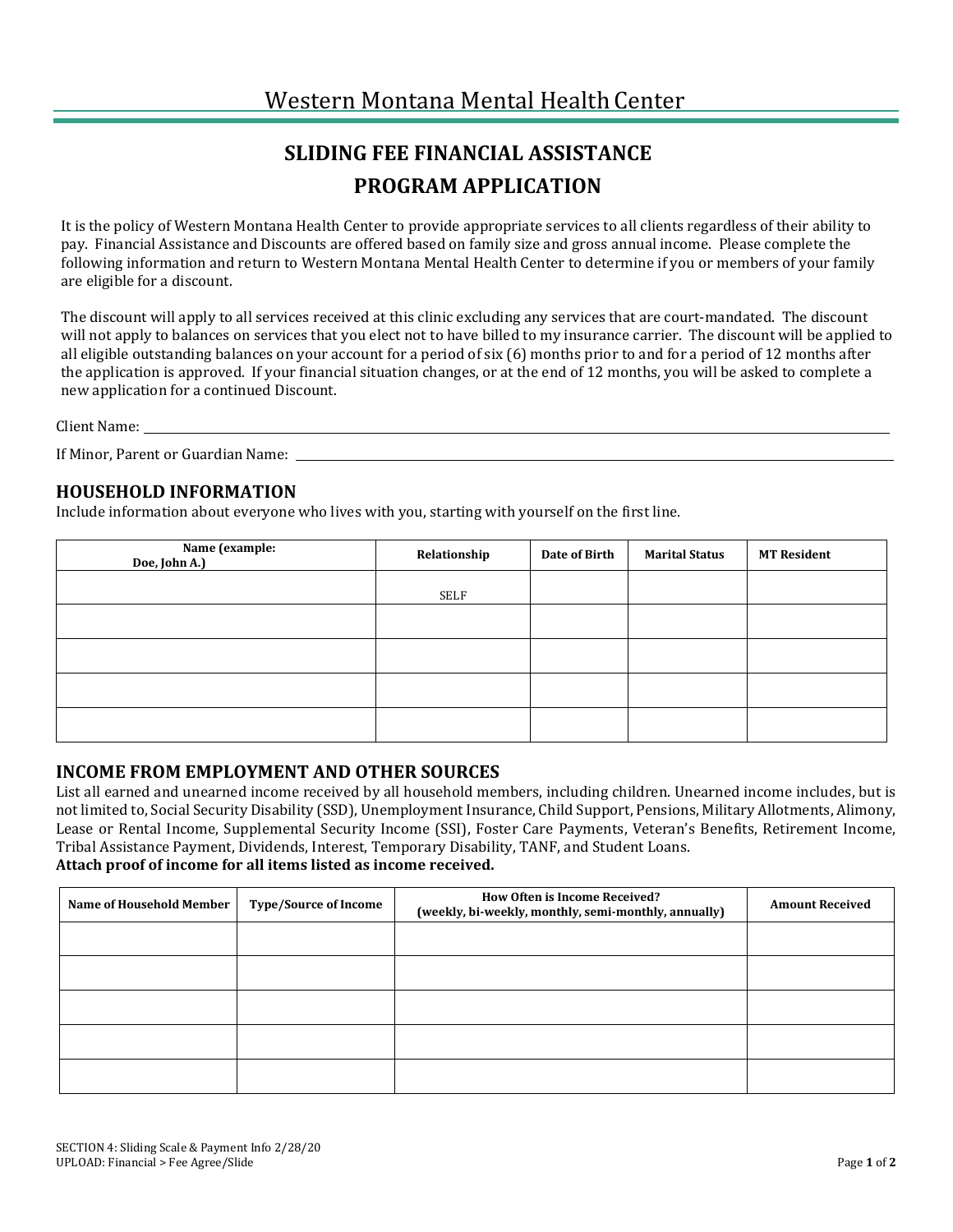### **SLIDING FEE FINANCIAL ASSISTANCE PROGRAM APPLICATION**

It is the policy of Western Montana Health Center to provide appropriate services to all clients regardless of their ability to pay. Financial Assistance and Discounts are offered based on family size and gross annual income. Please complete the following information and return to Western Montana Mental Health Center to determine if you or members of your family are eligible for a discount.

The discount will apply to all services received at this clinic excluding any services that are court-mandated. The discount will not apply to balances on services that you elect not to have billed to my insurance carrier. The discount will be applied to all eligible outstanding balances on your account for a period of six (6) months prior to and for a period of 12 months after the application is approved. If your financial situation changes, or at the end of 12 months, you will be asked to complete a new application for a continued Discount.

Client Name: \_\_

If Minor, Parent or Guardian Name:

#### **HOUSEHOLD INFORMATION**

Include information about everyone who lives with you, starting with yourself on the first line.

| Name (example:<br>Doe, John A.) | Relationship | Date of Birth | <b>Marital Status</b> | <b>MT Resident</b> |
|---------------------------------|--------------|---------------|-----------------------|--------------------|
|                                 | SELF         |               |                       |                    |
|                                 |              |               |                       |                    |
|                                 |              |               |                       |                    |
|                                 |              |               |                       |                    |
|                                 |              |               |                       |                    |

#### **INCOME FROM EMPLOYMENT AND OTHER SOURCES**

List all earned and unearned income received by all household members, including children. Unearned income includes, but is not limited to, Social Security Disability (SSD), Unemployment Insurance, Child Support, Pensions, Military Allotments, Alimony, Lease or Rental Income, Supplemental Security Income (SSI), Foster Care Payments, Veteran's Benefits, Retirement Income, Tribal Assistance Payment, Dividends, Interest, Temporary Disability, TANF, and Student Loans. **Attach proof of income for all items listed as income received.**

# **Name of Household Member Type/Source of Income How Often is Income Received? (weekly, bi-weekly, monthly, semi-monthly, annually) Amount Received**